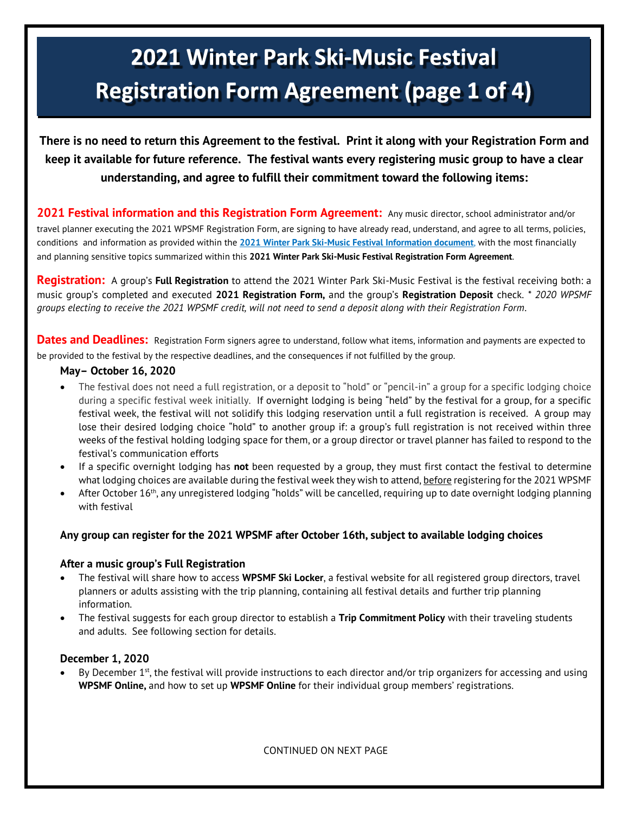# 2021 Winter Park Ski-Music Festival **Registration Form Agreement (page 1 of 4)**

**There is no need to return this Agreement to the festival. Print it along with your Registration Form and keep it available for future reference. The festival wants every registering music group to have a clear understanding, and agree to fulfill their commitment toward the following items:**

**2021 Festival information and this Registration Form Agreement:** Any music director, school administrator and/or travel planner executing the 2021 WPSMF Registration Form, are signing to have already read, understand, and agree to all terms, policies, conditions and information as provided within the **2021 [Winter Park Ski-Music Festival Information document](https://winterparkskimusicfestival.com/wp-content/uploads/2020/09/2021-WPSMF-Full-Information.pdf)**, with the most financially and planning sensitive topics summarized within this **2021 Winter Park Ski-Music Festival Registration Form Agreement**.

**Registration:** A group's **Full Registration** to attend the 2021 Winter Park Ski-Music Festival is the festival receiving both: a music group's completed and executed **2021 Registration Form,** and the group's **Registration Deposit** check. *\* 2020 WPSMF groups electing to receive the 2021 WPSMF credit, will not need to send a deposit along with their Registration Form*.

**Dates and Deadlines:** Registration Form signers agree to understand, follow what items, information and payments are expected to be provided to the festival by the respective deadlines, and the consequences if not fulfilled by the group.

#### **May– October 16, 2020**

- The festival does not need a full registration, or a deposit to "hold" or "pencil-in" a group for a specific lodging choice during a specific festival week initially. If overnight lodging is being "held" by the festival for a group, for a specific festival week, the festival will not solidify this lodging reservation until a full registration is received. A group may lose their desired lodging choice "hold" to another group if: a group's full registration is not received within three weeks of the festival holding lodging space for them, or a group director or travel planner has failed to respond to the festival's communication efforts
- If a specific overnight lodging has **not** been requested by a group, they must first contact the festival to determine what lodging choices are available during the festival week they wish to attend, before registering for the 2021 WPSMF
- $\bullet$  After October 16<sup>th</sup>, any unregistered lodging "holds" will be cancelled, requiring up to date overnight lodging planning with festival

## **Any group can register for the 2021 WPSMF after October 16th, subject to available lodging choices**

#### **After a music group's Full Registration**

- The festival will share how to access **WPSMF Ski Locker**, a festival website for all registered group directors, travel planners or adults assisting with the trip planning, containing all festival details and further trip planning information.
- The festival suggests for each group director to establish a **Trip Commitment Policy** with their traveling students and adults. See following section for details.

## **December 1, 2020**

• By December 1<sup>st</sup>, the festival will provide instructions to each director and/or trip organizers for accessing and using **WPSMF Online,** and how to set up **WPSMF Online** for their individual group members' registrations.

CONTINUED ON NEXT PAGE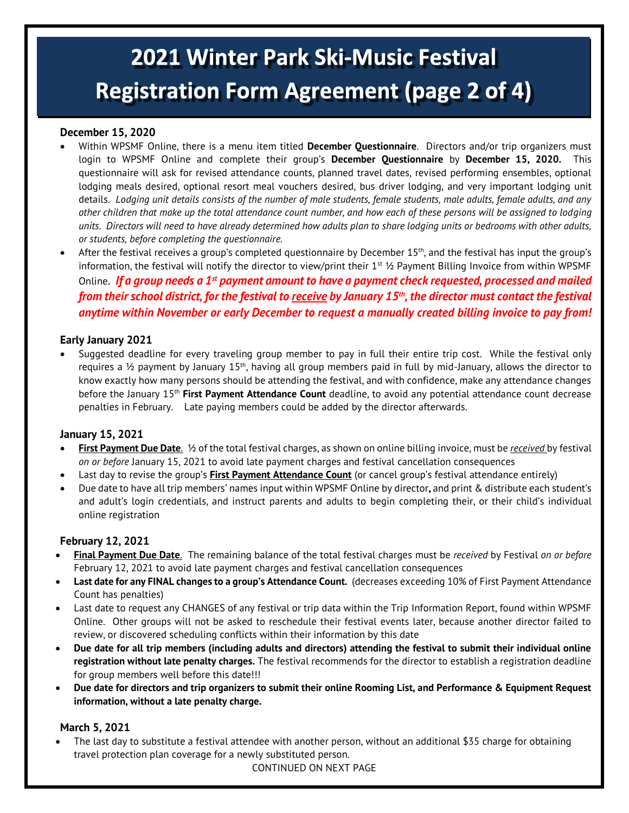# 2021 Winter Park Ski-Music Festival **Registration Form Agreement (page 2 of 4)**

## **December 15, 2020**

- Within WPSMF Online, there is a menu item titled **December Questionnaire**. Directors and/or trip organizers must login to WPSMF Online and complete their group's **December Questionnaire** by **December 15, 2020.** This questionnaire will ask for revised attendance counts, planned travel dates, revised performing ensembles, optional lodging meals desired, optional resort meal vouchers desired, bus driver lodging, and very important lodging unit details. *Lodging unit details consists of the number of male students, female students, male adults, female adults, and any other children that make up the total attendance count number, and how each of these persons will be assigned to lodging units. Directors will need to have already determined how adults plan to share lodging units or bedrooms with other adults, or students, before completing the questionnaire.*
- After the festival receives a group's completed questionnaire by December  $15<sup>th</sup>$ , and the festival has input the group's information, the festival will notify the director to view/print their  $1<sup>st</sup>$  1/2 Payment Billing Invoice from within WPSMF Online. *If a group needs a 1st payment amount to have a payment check requested, processed and mailed from their school district, for the festival to receive by January 15 th, the director must contact the festival anytime within November or early December to request a manually created billing invoice to pay from!*

## **Early January 2021**

• Suggested deadline for every traveling group member to pay in full their entire trip cost. While the festival only requires a ½ payment by January 15th, having all group members paid in full by mid-January, allows the director to know exactly how many persons should be attending the festival, and with confidence, make any attendance changes before the January 15<sup>th</sup> First Payment Attendance Count deadline, to avoid any potential attendance count decrease penalties in February. Late paying members could be added by the director afterwards.

# **January 15, 2021**

- **First Payment Due Date**. ½ of the total festival charges, as shown on online billing invoice, must be *received* by festival *on or before* January 15, 2021 to avoid late payment charges and festival cancellation consequences
- Last day to revise the group's **First Payment Attendance Count** (or cancel group's festival attendance entirely)
- Due date to have all trip members' names input within WPSMF Online by director**,** and print & distribute each student's and adult's login credentials, and instruct parents and adults to begin completing their, or their child's individual online registration

# **February 12, 2021**

- **Final Payment Due Date**. The remaining balance of the total festival charges must be *received* by Festival *on or before* February 12, 2021 to avoid late payment charges and festival cancellation consequences
- **Last date for any FINAL changes to a group's Attendance Count.** (decreases exceeding 10% of First Payment Attendance Count has penalties)
- Last date to request any CHANGES of any festival or trip data within the Trip Information Report, found within WPSMF Online. Other groups will not be asked to reschedule their festival events later, because another director failed to review, or discovered scheduling conflicts within their information by this date
- **Due date for all trip members (including adults and directors) attending the festival to submit their individual online registration without late penalty charges.** The festival recommends for the director to establish a registration deadline for group members well before this date!!!
- **Due date for directors and trip organizers to submit their online Rooming List, and Performance & Equipment Request information, without a late penalty charge.**

## **March 5, 2021**

• The last day to substitute a festival attendee with another person, without an additional \$35 charge for obtaining travel protection plan coverage for a newly substituted person.

CONTINUED ON NEXT PAGE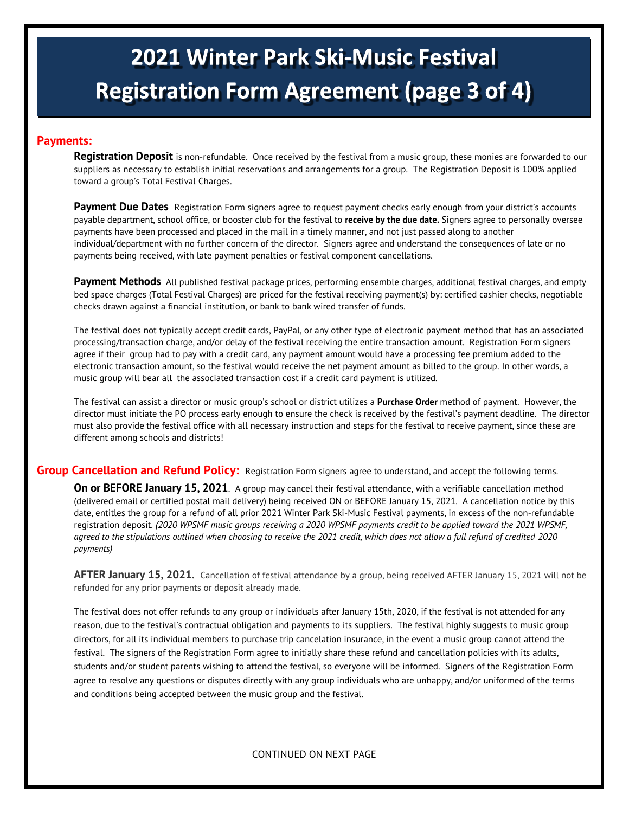# **2021 Winter Park Ski-Music Festival Registration Form Agreement (page 3 of 4)**

#### **Payments:**

**Registration Deposit** is non-refundable. Once received by the festival from a music group, these monies are forwarded to our suppliers as necessary to establish initial reservations and arrangements for a group. The Registration Deposit is 100% applied toward a group's Total Festival Charges.

Payment Due Dates Registration Form signers agree to request payment checks early enough from your district's accounts payable department, school office, or booster club for the festival to **receive by the due date.** Signers agree to personally oversee payments have been processed and placed in the mail in a timely manner, and not just passed along to another individual/department with no further concern of the director. Signers agree and understand the consequences of late or no payments being received, with late payment penalties or festival component cancellations.

**Payment Methods** All published festival package prices, performing ensemble charges, additional festival charges, and empty bed space charges (Total Festival Charges) are priced for the festival receiving payment(s) by: certified cashier checks, negotiable checks drawn against a financial institution, or bank to bank wired transfer of funds.

The festival does not typically accept credit cards, PayPal, or any other type of electronic payment method that has an associated processing/transaction charge, and/or delay of the festival receiving the entire transaction amount. Registration Form signers agree if their group had to pay with a credit card, any payment amount would have a processing fee premium added to the electronic transaction amount, so the festival would receive the net payment amount as billed to the group. In other words, a music group will bear all the associated transaction cost if a credit card payment is utilized.

The festival can assist a director or music group's school or district utilizes a **Purchase Order** method of payment. However, the director must initiate the PO process early enough to ensure the check is received by the festival's payment deadline. The director must also provide the festival office with all necessary instruction and steps for the festival to receive payment, since these are different among schools and districts!

**Group Cancellation and Refund Policy:** Registration Form signers agree to understand, and accept the following terms.

**On or BEFORE January 15, 2021**. A group may cancel their festival attendance, with a verifiable cancellation method (delivered email or certified postal mail delivery) being received ON or BEFORE January 15, 2021. A cancellation notice by this date, entitles the group for a refund of all prior 2021 Winter Park Ski-Music Festival payments, in excess of the non-refundable registration deposit*. (2020 WPSMF music groups receiving a 2020 WPSMF payments credit to be applied toward the 2021 WPSMF, agreed to the stipulations outlined when choosing to receive the 2021 credit, which does not allow a full refund of credited 2020 payments)*

**AFTER January 15, 2021.** Cancellation of festival attendance by a group, being received AFTER January 15, 2021 will not be refunded for any prior payments or deposit already made.

The festival does not offer refunds to any group or individuals after January 15th, 2020, if the festival is not attended for any reason, due to the festival's contractual obligation and payments to its suppliers. The festival highly suggests to music group directors, for all its individual members to purchase trip cancelation insurance, in the event a music group cannot attend the festival. The signers of the Registration Form agree to initially share these refund and cancellation policies with its adults, students and/or student parents wishing to attend the festival, so everyone will be informed. Signers of the Registration Form agree to resolve any questions or disputes directly with any group individuals who are unhappy, and/or uniformed of the terms and conditions being accepted between the music group and the festival.

CONTINUED ON NEXT PAGE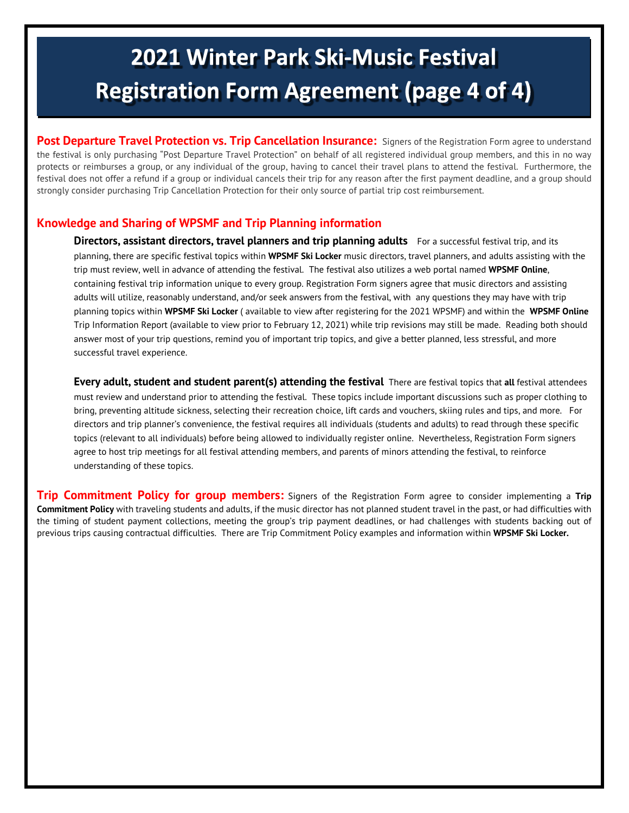# 2021 Winter Park Ski-Music Festival **Registration Form Agreement (page 4 of 4)**

**Post Departure Travel Protection vs. Trip Cancellation Insurance:** Signers of the Registration Form agree to understand the festival is only purchasing "Post Departure Travel Protection" on behalf of all registered individual group members, and this in no way protects or reimburses a group, or any individual of the group, having to cancel their travel plans to attend the festival. Furthermore, the festival does not offer a refund if a group or individual cancels their trip for any reason after the first payment deadline, and a group should strongly consider purchasing Trip Cancellation Protection for their only source of partial trip cost reimbursement.

# **Knowledge and Sharing of WPSMF and Trip Planning information**

**Directors, assistant directors, travel planners and trip planning adults** For a successful festival trip, and its planning, there are specific festival topics within **WPSMF Ski Locker** music directors, travel planners, and adults assisting with the trip must review, well in advance of attending the festival. The festival also utilizes a web portal named **WPSMF Online**, containing festival trip information unique to every group. Registration Form signers agree that music directors and assisting adults will utilize, reasonably understand, and/or seek answers from the festival, with any questions they may have with trip planning topics within **WPSMF Ski Locker** ( available to view after registering for the 2021 WPSMF) and within the **WPSMF Online** Trip Information Report (available to view prior to February 12, 2021) while trip revisions may still be made. Reading both should answer most of your trip questions, remind you of important trip topics, and give a better planned, less stressful, and more successful travel experience.

**Every adult, student and student parent(s) attending the festival** There are festival topics that **all** festival attendees must review and understand prior to attending the festival. These topics include important discussions such as proper clothing to bring, preventing altitude sickness, selecting their recreation choice, lift cards and vouchers, skiing rules and tips, and more. For directors and trip planner's convenience, the festival requires all individuals (students and adults) to read through these specific topics (relevant to all individuals) before being allowed to individually register online. Nevertheless, Registration Form signers agree to host trip meetings for all festival attending members, and parents of minors attending the festival, to reinforce understanding of these topics.

**Trip Commitment Policy for group members:** Signers of the Registration Form agree to consider implementing a **Trip Commitment Policy** with traveling students and adults, if the music director has not planned student travel in the past, or had difficulties with the timing of student payment collections, meeting the group's trip payment deadlines, or had challenges with students backing out of previous trips causing contractual difficulties. There are Trip Commitment Policy examples and information within **WPSMF Ski Locker.**